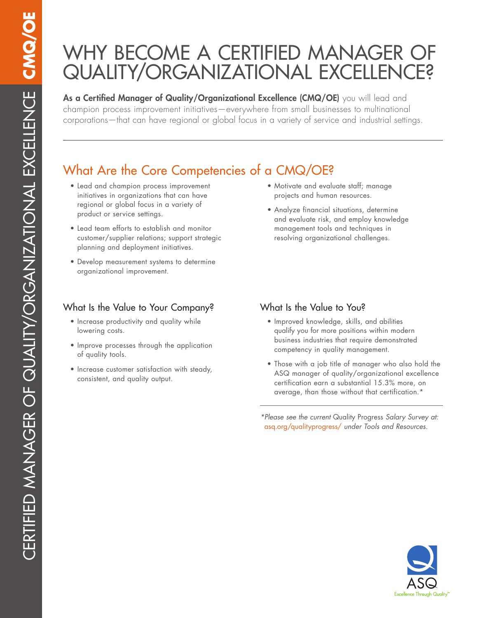## WHY BECOME A CERTIFIED MANAGER OF QUALITY/ORGANIZATIONAL EXCELLENCE?

As a Certified Manager of Quality/Organizational Excellence (CMQ/OE) you will lead and champion process improvement initiatives—everywhere from small businesses to multinational corporations—that can have regional or global focus in a variety of service and industrial settings.

### What Are the Core Competencies of a CMQ/OE?

- Lead and champion process improvement initiatives in organizations that can have regional or global focus in a variety of product or service settings.
- Lead team efforts to establish and monitor customer/supplier relations; support strategic planning and deployment initiatives.
- Develop measurement systems to determine organizational improvement.

#### What Is the Value to Your Company? What Is the Value to You?

- Increase productivity and quality while lowering costs.
- Improve processes through the application of quality tools.
- Increase customer satisfaction with steady, consistent, and quality output.
- Motivate and evaluate staff; manage projects and human resources.
- Analyze financial situations, determine and evaluate risk, and employ knowledge management tools and techniques in resolving organizational challenges.

- Improved knowledge, skills, and abilities qualify you for more positions within modern business industries that require demonstrated competency in quality management.
- Those with a job title of manager who also hold the ASQ manager of quality/organizational excellence certification earn a substantial 15.3% more, on average, than those without that certification.\*

*\*Please see the current* Quality Progress *Salary Survey at:*  [asq.org/qualityprogress/](http://asq.org/qualityprogress/) *under Tools and Resources.*